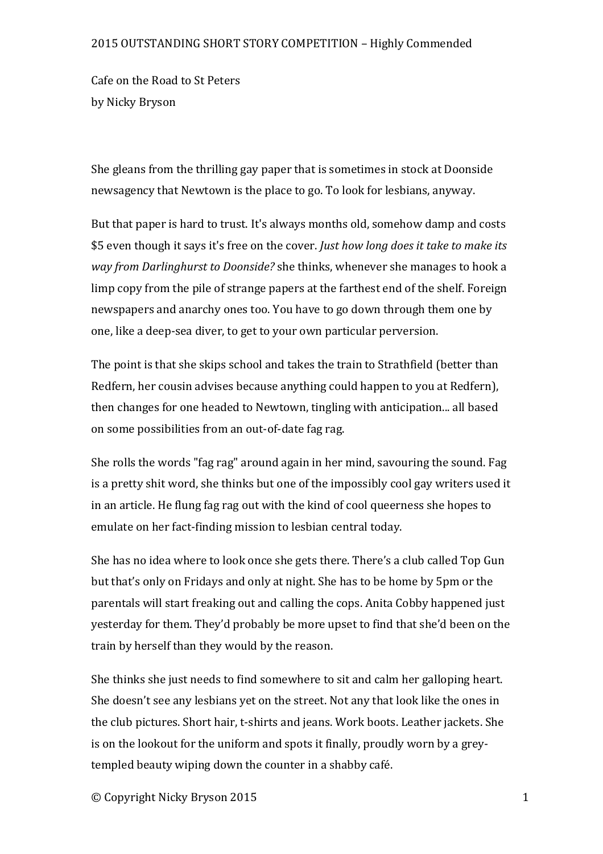## 2015 OUTSTANDING SHORT STORY COMPETITION - Highly Commended

Cafe on the Road to St Peters by Nicky Bryson

She gleans from the thrilling gay paper that is sometimes in stock at Doonside newsagency that Newtown is the place to go. To look for lesbians, anyway.

But that paper is hard to trust. It's always months old, somehow damp and costs \$5 even though it says it's free on the cover. *Just how long does it take to make its way* from Darlinghurst to Doonside? she thinks, whenever she manages to hook a limp copy from the pile of strange papers at the farthest end of the shelf. Foreign newspapers and anarchy ones too. You have to go down through them one by one, like a deep-sea diver, to get to your own particular perversion.

The point is that she skips school and takes the train to Strathfield (better than Redfern, her cousin advises because anything could happen to you at Redfern). then changes for one headed to Newtown, tingling with anticipation... all based on some possibilities from an out-of-date fag rag.

She rolls the words "fag rag" around again in her mind, savouring the sound. Fag is a pretty shit word, she thinks but one of the impossibly cool gay writers used it in an article. He flung fag rag out with the kind of cool queerness she hopes to emulate on her fact-finding mission to lesbian central today.

She has no idea where to look once she gets there. There's a club called Top Gun but that's only on Fridays and only at night. She has to be home by 5pm or the parentals will start freaking out and calling the cops. Anita Cobby happened just yesterday for them. They'd probably be more upset to find that she'd been on the train by herself than they would by the reason.

She thinks she just needs to find somewhere to sit and calm her galloping heart. She doesn't see any lesbians yet on the street. Not any that look like the ones in the club pictures. Short hair, t-shirts and jeans. Work boots. Leather jackets. She is on the lookout for the uniform and spots it finally, proudly worn by a greytempled beauty wiping down the counter in a shabby café.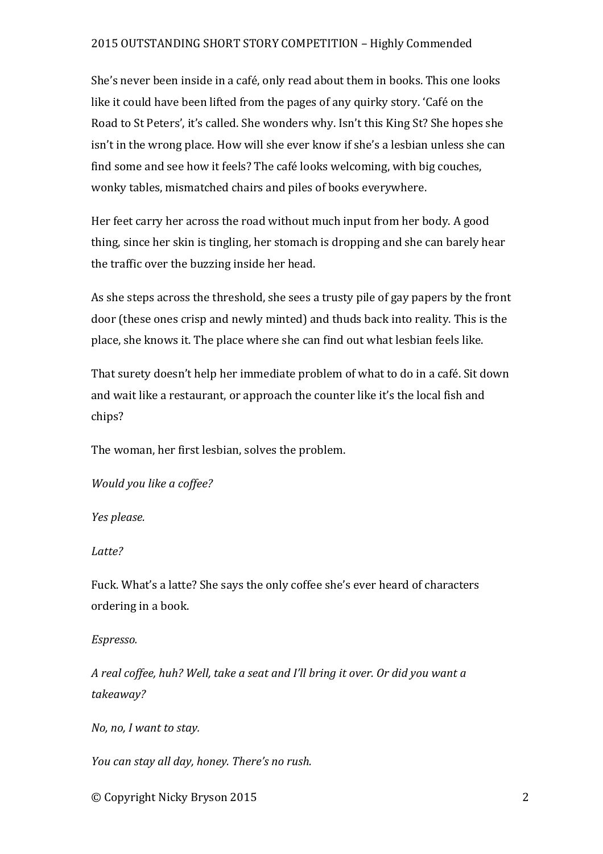## 2015 OUTSTANDING SHORT STORY COMPETITION - Highly Commended

She's never been inside in a café, only read about them in books. This one looks like it could have been lifted from the pages of any quirky story. 'Café on the Road to St Peters', it's called. She wonders why. Isn't this King St? She hopes she isn't in the wrong place. How will she ever know if she's a lesbian unless she can find some and see how it feels? The café looks welcoming, with big couches, wonky tables, mismatched chairs and piles of books everywhere.

Her feet carry her across the road without much input from her body. A good thing, since her skin is tingling, her stomach is dropping and she can barely hear the traffic over the buzzing inside her head.

As she steps across the threshold, she sees a trusty pile of gay papers by the front door (these ones crisp and newly minted) and thuds back into reality. This is the place, she knows it. The place where she can find out what lesbian feels like.

That surety doesn't help her immediate problem of what to do in a café. Sit down and wait like a restaurant, or approach the counter like it's the local fish and chips?

The woman, her first lesbian, solves the problem.

*Would you like a coffee?*

*Yes please.*

*Latte?*

Fuck. What's a latte? She says the only coffee she's ever heard of characters ordering in a book.

*Espresso.* 

*A real coffee, huh? Well, take a seat and I'll bring it over. Or did you want a takeaway?*

*No, no, I* want to stay.

*You can stay all day, honey. There's no rush.* 

© Copyright Nicky Bryson 2015 2